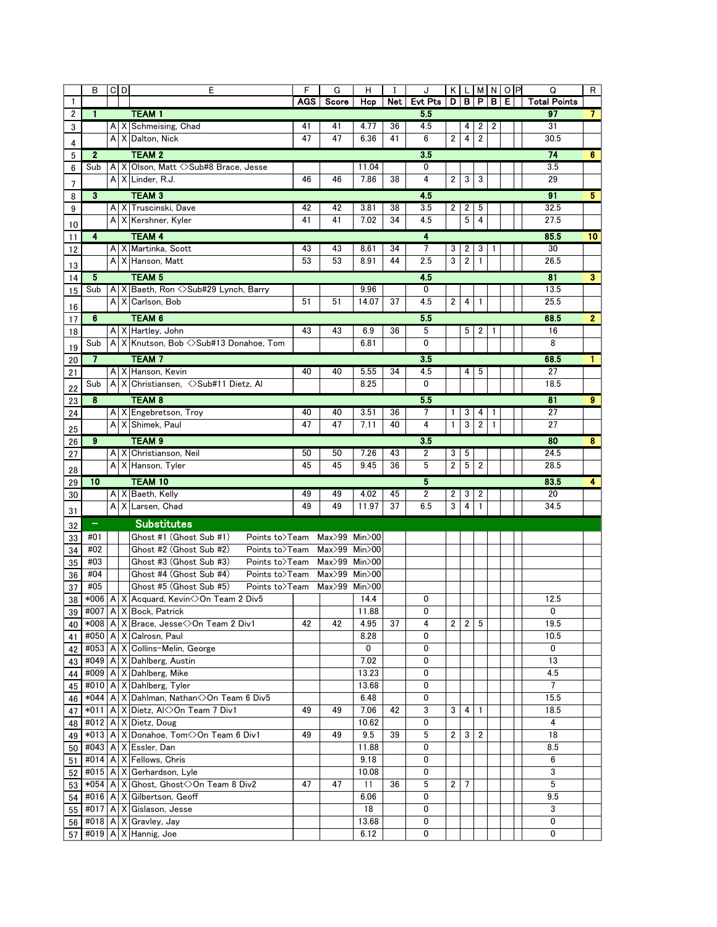|          | В                 | $C$ <sub>D</sub> |          | E                                                                      | F          | G             | H             |          | J              |                |                 |                         |              | KLMNOP | Q                     | R              |
|----------|-------------------|------------------|----------|------------------------------------------------------------------------|------------|---------------|---------------|----------|----------------|----------------|-----------------|-------------------------|--------------|--------|-----------------------|----------------|
| 1        |                   |                  |          |                                                                        | <b>AGS</b> | Score         | Hcp           | Net      | <b>Evt Pts</b> |                |                 |                         | D B P B      | Е      | <b>Total Points</b>   |                |
| 2        | $\mathbf{1}$      |                  |          | <b>TEAM1</b>                                                           |            |               |               |          | 5.5            |                |                 |                         |              |        | 97                    | $\overline{7}$ |
| 3        |                   | A                |          | X Schmeising, Chad                                                     | 41         | 41            | 4.77          | 36       | 4.5            |                | 4               | 2                       | 2            |        | 31                    |                |
| 4        |                   | A                |          | X Dalton, Nick                                                         | 47         | 47            | 6.36          | 41       | 6              | 2              | 4               | $\overline{2}$          |              |        | 30.5                  |                |
| 5        | $\mathbf{2}$      |                  |          | <b>TEAM 2</b>                                                          |            |               |               |          | 3.5            |                |                 |                         |              |        | 74                    | 6              |
| 6        | Sub               | A                |          | X Olson, Matt <>Sub#8 Brace, Jesse                                     |            |               | 11.04         |          | 0              |                |                 |                         |              |        | 3.5                   |                |
| 7        |                   | A                |          | X Linder, R.J.                                                         | 46         | 46            | 7.86          | 38       | 4              | 2              | $\mathbf{3}$    | 3                       |              |        | 29                    |                |
| 8        | 3                 |                  |          | <b>TEAM 3</b>                                                          |            |               |               |          | 4.5            |                |                 |                         |              |        | 91                    | 5              |
| 9        |                   | A                | X        | Truscinski, Dave                                                       | 42         | 42            | 3.81          | 38       | 3.5            | 2              | 2               | 5                       |              |        | 32.5                  |                |
|          |                   |                  |          | A X Kershner, Kyler                                                    | 41         | 41            | 7.02          | 34       | 4.5            |                | 5               | 4                       |              |        | 27.5                  |                |
| 10<br>11 | $\overline{4}$    |                  |          | <b>TEAM 4</b>                                                          |            |               |               |          | 4              |                |                 |                         |              |        | 85.5                  | 10             |
| 12       |                   | A                |          | X Martinka, Scott                                                      | 43         | 43            | 8.61          | 34       | 7              | 3              | 2               | 3                       | 1            |        | 30                    |                |
|          |                   | A                |          | X Hanson, Matt                                                         | 53         | 53            | 8.91          | 44       | 2.5            | 3              | 2               | $\mathbf{1}$            |              |        | 26.5                  |                |
| 13       |                   |                  |          | <b>TEAM 5</b>                                                          |            |               |               |          | 4.5            |                |                 |                         |              |        | 81                    |                |
| 14       | $\overline{5}$    |                  |          | X Baeth, Ron <> Sub#29 Lynch, Barry                                    |            |               | 9.96          |          | 0              |                |                 |                         |              |        | 13.5                  | 3              |
| 15       | Sub               | A<br>A           |          | X Carlson, Bob                                                         | 51         | 51            | 14.07         | 37       | 4.5            | $\overline{2}$ | 4               | 1                       |              |        | 25.5                  |                |
| 16       |                   |                  |          |                                                                        |            |               |               |          |                |                |                 |                         |              |        |                       |                |
| 17       | 6                 |                  |          | <b>TEAM 6</b>                                                          |            |               |               |          | 5.5            |                |                 |                         |              |        | 68.5                  | $\overline{2}$ |
| 18       |                   | A                |          | X Hartley, John                                                        | 43         | 43            | 6.9           | 36       | 5              |                | 5               | $\overline{2}$          | -1           |        | 16                    |                |
| 19       | Sub               | A                |          | X Knutson, Bob <>Sub#13 Donahoe, Tom                                   |            |               | 6.81          |          | 0              |                |                 |                         |              |        | 8                     |                |
| 20       | $\overline{7}$    |                  |          | <b>TEAM7</b>                                                           |            |               |               |          | 3.5            |                |                 |                         |              |        | 68.5                  | 1              |
| 21       |                   | A                |          | X Hanson, Kevin                                                        | 40         | 40            | 5.55          | 34       | 4.5            |                | 4               | 5                       |              |        | 27                    |                |
| 22       | Sub               | А                |          | X Christiansen, <>Sub#11 Dietz, Al                                     |            |               | 8.25          |          | 0              |                |                 |                         |              |        | 18.5                  |                |
| 23       | 8                 |                  |          | <b>TEAM 8</b>                                                          |            |               |               |          | 5.5            |                |                 |                         |              |        | 81                    | $\bf{9}$       |
| 24       |                   | A                |          | X Engebretson, Troy                                                    | 40         | 40            | 3.51          | 36       | 7              | 1              | 3               | 4                       | 1            |        | 27                    |                |
|          |                   | $\mathsf{A}$     |          | X Shimek, Paul                                                         | 47         | 47            | 7.11          | 40       | 4              | $\mathbf{1}$   | 3               | $\overline{2}$          | $\mathbf{1}$ |        | 27                    |                |
| 25       | 9                 |                  |          | TEAM <sub>9</sub>                                                      |            |               |               |          | 3.5            |                |                 |                         |              |        | 80                    | 8              |
| 26<br>27 |                   |                  | A X      | Christianson, Neil                                                     | 50         | 50            | 7.26          | 43       | 2              | 3              | 5               |                         |              |        | 24.5                  |                |
|          |                   | A                |          | X Hanson, Tyler                                                        | 45         | 45            | 9.45          | 36       | 5              | $\overline{2}$ | $5\phantom{.0}$ | $\overline{\mathbf{c}}$ |              |        | 28.5                  |                |
| 28       |                   |                  |          |                                                                        |            |               |               |          |                |                |                 |                         |              |        |                       |                |
| 29       | 10                |                  |          | <b>TEAM 10</b>                                                         |            |               |               |          | 5              |                |                 |                         |              |        | 83.5                  | 4              |
| 30       |                   | A                | $\times$ | A X Baeth, Kelly<br>Larsen, Chad                                       | 49<br>49   | 49<br>49      | 4.02<br>11.97 | 45<br>37 | 2<br>6.5       | 2<br>3         | 3<br>4          | 2<br>1                  |              |        | 20<br>34.5            |                |
| 31       |                   |                  |          |                                                                        |            |               |               |          |                |                |                 |                         |              |        |                       |                |
| 32       | $\qquad \qquad =$ |                  |          | <b>Substitutes</b>                                                     |            |               |               |          |                |                |                 |                         |              |        |                       |                |
| 33       | #01               |                  |          | Ghost #1 (Ghost Sub #1)<br>Points to>Team                              |            | Max>99 Min>00 |               |          |                |                |                 |                         |              |        |                       |                |
| 34       | #02               |                  |          | Ghost #2 (Ghost Sub #2)<br>Points to>Team                              |            | Max>99 Min>00 |               |          |                |                |                 |                         |              |        |                       |                |
| 35       | #03               |                  |          | Ghost #3 (Ghost Sub #3)<br>Points to>Team                              |            | Max>99 Min>00 |               |          |                |                |                 |                         |              |        |                       |                |
| 36       | #04               |                  |          | Ghost #4 (Ghost Sub #4)<br>Points to>Team                              |            | Max>99 Min>00 |               |          |                |                |                 |                         |              |        |                       |                |
| 37       | #05               |                  |          | Ghost #5 (Ghost Sub #5)<br>Points to>Team                              |            | Max>99 Min>00 |               |          |                |                |                 |                         |              |        |                       |                |
| 38       | $*006$            | A                | Х        | Acquard, Kevin <> On Team 2 Div5                                       |            |               | 14.4          |          | 0              |                |                 |                         |              |        | 12.5                  |                |
|          |                   |                  |          | 39 #007   A   X Bock, Patrick                                          |            |               | 11.88         |          | 0              |                |                 |                         |              |        | 0                     |                |
| 40       |                   |                  |          | *008   A   X   Brace, Jesse < > On Team 2 Div1                         | 42         | 42            | 4.95          | 37       | 4              | $\overline{c}$ | $\mathbf{2}$    | 5                       |              |        | 19.5                  |                |
| 41       |                   |                  |          | #050   A   X   Calrosn, Paul                                           |            |               | 8.28          |          | 0              |                |                 |                         |              |        | 10.5                  |                |
| 42       |                   |                  |          | #053   A   X   Collins-Melin, George                                   |            |               | 0             |          | 0              |                |                 |                         |              |        | 0                     |                |
| 43       |                   |                  |          | #049   A   X   Dahlberg, Austin                                        |            |               | 7.02          |          | 0              |                |                 |                         |              |        | 13                    |                |
| 44       |                   |                  |          | #009   A   X   Dahlberg, Mike                                          |            |               | 13.23         |          | 0              |                |                 |                         |              |        | 4.5<br>$\overline{7}$ |                |
| 45       |                   |                  |          | #010   A   X   Dahlberg, Tyler                                         |            |               | 13.68         |          | 0              |                |                 |                         |              |        |                       |                |
| 46       |                   |                  |          | *044   A   X   Dahlman, Nathan < > On Team 6 Div 5                     |            |               | 6.48          |          | 0              |                |                 |                         |              |        | 15.5                  |                |
| 47       |                   |                  |          | *011   A   X   Dietz, Al<>On Team 7 Div1<br>#012   A   X   Dietz, Doug | 49         | 49            | 7.06<br>10.62 | 42       | 3<br>0         | 3              | 4               | -1                      |              |        | 18.5                  |                |
| 48       |                   |                  |          | *013   A   X   Donahoe, Tom<>On Team 6 Div1                            | 49         | 49            | 9.5           | 39       | 5              | 2              |                 | 2                       |              |        | 4<br>18               |                |
| 49       |                   |                  |          | #043   A   $X$ Essler, Dan                                             |            |               | 11.88         |          | 0              |                | 3               |                         |              |        | 8.5                   |                |
| 50       |                   |                  |          | #014   A   X   Fellows, Chris                                          |            |               | 9.18          |          | 0              |                |                 |                         |              |        | 6                     |                |
| 51       |                   |                  |          | #015   A   X   Gerhardson, Lyle                                        |            |               | 10.08         |          | 0              |                |                 |                         |              |        | 3                     |                |
| 52       |                   |                  |          | *054   A   X   Ghost, Ghost < > >>> On Team 8 Div2                     | 47         | 47            | 11            | 36       | 5              | 2              | 7               |                         |              |        | 5                     |                |
| 53       |                   |                  |          | #016   A   X   Gilbertson, Geoff                                       |            |               | 6.06          |          | 0              |                |                 |                         |              |        | 9.5                   |                |
| 54       |                   |                  |          | #017   A   X   Gislason, Jesse                                         |            |               | 18            |          | 0              |                |                 |                         |              |        | 3                     |                |
| 55       |                   |                  |          | $\#018$   A   X   Gravley, Jay                                         |            |               | 13.68         |          | 0              |                |                 |                         |              |        | 0                     |                |
| 56<br>57 |                   |                  |          | #019   A   X   Hannig, Joe                                             |            |               | 6.12          |          | 0              |                |                 |                         |              |        | 0                     |                |
|          |                   |                  |          |                                                                        |            |               |               |          |                |                |                 |                         |              |        |                       |                |